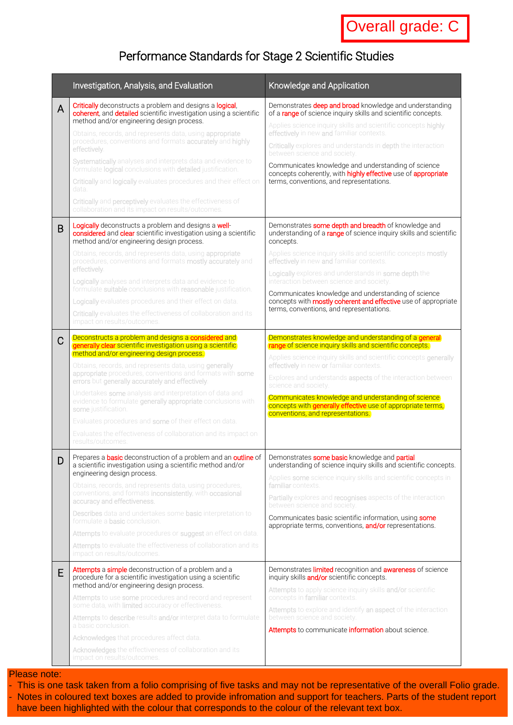# Performance Standards for Stage 2 Scientific Studies

|        | Investigation, Analysis, and Evaluation                                                                                                                                                                                                                                                                                                                                                                                                                                                                                                                                                                                                                                                                                                                                                                                                                                                                                                                                                                                                                                                                                                                                                                                                                                                   | Knowledge and Application                                                                                                                                                                                                                                                                                                                                                                                                                                                                                                                                                                                                                                                                                                                                                                                                                                                                                                                                                                                                                          |
|--------|-------------------------------------------------------------------------------------------------------------------------------------------------------------------------------------------------------------------------------------------------------------------------------------------------------------------------------------------------------------------------------------------------------------------------------------------------------------------------------------------------------------------------------------------------------------------------------------------------------------------------------------------------------------------------------------------------------------------------------------------------------------------------------------------------------------------------------------------------------------------------------------------------------------------------------------------------------------------------------------------------------------------------------------------------------------------------------------------------------------------------------------------------------------------------------------------------------------------------------------------------------------------------------------------|----------------------------------------------------------------------------------------------------------------------------------------------------------------------------------------------------------------------------------------------------------------------------------------------------------------------------------------------------------------------------------------------------------------------------------------------------------------------------------------------------------------------------------------------------------------------------------------------------------------------------------------------------------------------------------------------------------------------------------------------------------------------------------------------------------------------------------------------------------------------------------------------------------------------------------------------------------------------------------------------------------------------------------------------------|
| A<br>B | <b>Critically</b> deconstructs a problem and designs a logical,<br>coherent, and detailed scientific investigation using a scientific<br>method and/or engineering design process.<br>Obtains, records, and represents data, using appropriate<br>procedures, conventions and formats accurately and highly<br>effectively.<br>Systematically analyses and interprets data and evidence to<br>formulate logical conclusions with detailed justification.<br>Critically and logically evaluates procedures and their effect on<br>data.<br>Critically and perceptively evaluates the effectiveness of<br>collaboration and its impact on results/outcomes.<br><b>Logically</b> deconstructs a problem and designs a <b>well-</b><br>considered and clear scientific investigation using a scientific<br>method and/or engineering design process.<br>Obtains, records, and represents data, using appropriate<br>procedures, conventions and formats mostly accurately and<br>effectively.<br>Logically analyses and interprets data and evidence to<br>formulate suitable conclusions with reasonable justification.<br><b>Logically</b> evaluates procedures and their effect on data.<br>Critically evaluates the effectiveness of collaboration and its<br>impact on results/outcomes. | Demonstrates deep and broad knowledge and understanding<br>of a range of science inquiry skills and scientific concepts.<br>Applies science inquiry skills and scientific concepts highly<br>effectively in new and familiar contexts.<br>Critically explores and understands in depth the interaction<br>between science and society.<br>Communicates knowledge and understanding of science<br>concepts coherently, with highly effective use of appropriate<br>terms, conventions, and representations.<br>Demonstrates some depth and breadth of knowledge and<br>understanding of a range of science inquiry skills and scientific<br>concepts.<br>Applies science inquiry skills and scientific concepts mostly<br>effectively in new and familiar contexts.<br>Logically explores and understands in some depth the<br>interaction between science and society.<br>Communicates knowledge and understanding of science<br>concepts with <b>mostly coherent and effective</b> use of appropriate<br>terms, conventions, and representations. |
| C      | Deconstructs a problem and designs a considered and<br>generally clear scientific investigation using a scientific<br>method and/or engineering design process.<br>Obtains, records, and represents data, using <b>generally</b><br>appropriate procedures, conventions and formats with some<br>errors but generally accurately and effectively.<br>Undertakes some analysis and interpretation of data and<br>evidence to formulate generally appropriate conclusions with<br>some justification.<br>Evaluates procedures and some of their effect on data.<br>Evaluates the effectiveness of collaboration and its impact on<br>results/outcomes.                                                                                                                                                                                                                                                                                                                                                                                                                                                                                                                                                                                                                                      | Demonstrates knowledge and understanding of a general<br>range of science inquiry skills and scientific concepts.<br>Applies science inquiry skills and scientific concepts generally<br>effectively in new or familiar contexts.<br>Explores and understands <b>aspects</b> of the interaction between<br>science and society.<br>Communicates knowledge and understanding of science<br>concepts with generally effective use of appropriate terms,<br>conventions, and representations.                                                                                                                                                                                                                                                                                                                                                                                                                                                                                                                                                         |
| D      | Prepares a basic deconstruction of a problem and an outline of   Demonstrates some basic knowledge and partial<br>a scientific investigation using a scientific method and/or<br>engineering design process.<br>Obtains, records, and represents data, using procedures,<br>conventions, and formats inconsistently, with occasional<br>accuracy and effectiveness.<br><b>Describes</b> data and undertakes some <b>basic</b> interpretation to<br>formulate a <b>basic</b> conclusion.<br>Attempts to evaluate procedures or suggest an effect on data.<br>Attempts to evaluate the effectiveness of collaboration and its<br>impact on results/outcomes.                                                                                                                                                                                                                                                                                                                                                                                                                                                                                                                                                                                                                                | understanding of science inquiry skills and scientific concepts.<br>Applies some science inquiry skills and scientific concepts in<br>familiar contexts.<br><b>Partially</b> explores and <b>recognises</b> aspects of the interaction<br>between science and society.<br>Communicates basic scientific information, using some<br>appropriate terms, conventions, and/or representations.                                                                                                                                                                                                                                                                                                                                                                                                                                                                                                                                                                                                                                                         |
| E      | Attempts a simple deconstruction of a problem and a<br>procedure for a scientific investigation using a scientific<br>method and/or engineering design process.<br>Attempts to use some procedures and record and represent<br>some data, with limited accuracy or effectiveness.<br>Attempts to describe results and/or interpret data to formulate<br>a basic conclusion.<br>Acknowledges that procedures affect data.<br>Acknowledges the effectiveness of collaboration and its<br>impact on results/outcomes.                                                                                                                                                                                                                                                                                                                                                                                                                                                                                                                                                                                                                                                                                                                                                                        | Demonstrates <i>limited</i> recognition and <b>awareness</b> of science<br>inquiry skills and/or scientific concepts.<br>Attempts to apply science inquiry skills and/or scientific<br>concepts in familiar contexts.<br>Attempts to explore and identify an aspect of the interaction<br>between science and society.<br>Attempts to communicate information about science.                                                                                                                                                                                                                                                                                                                                                                                                                                                                                                                                                                                                                                                                       |

### Please note:

- This is one task taken from a folio comprising of five tasks and may not be representative of the overall Folio grade.

- Notes in coloured text boxes are added to provide infromation and support for teachers. Parts of the student report have been highlighted with the colour that corresponds to the colour of the relevant text box.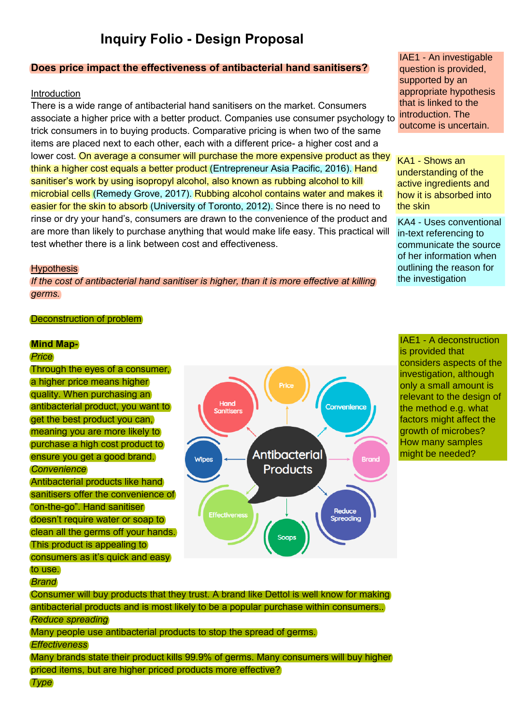# **Inquiry Folio - Design Proposal**

# **Does price impact the effectiveness of antibacterial hand sanitisers?**

### Introduction

There is a wide range of antibacterial hand sanitisers on the market. Consumers associate a higher price with a better product. Companies use consumer psychology to trick consumers in to buying products. Comparative pricing is when two of the same items are placed next to each other, each with a different price- a higher cost and a lower cost. On average a consumer will purchase the more expensive product as they think a higher cost equals a better product (Entrepreneur Asia Pacific, 2016). Hand sanitiser's work by using isopropyl alcohol, also known as rubbing alcohol to kill microbial cells (Remedy Grove, 2017). Rubbing alcohol contains water and makes it easier for the skin to absorb (University of Toronto, 2012). Since there is no need to rinse or dry your hand's, consumers are drawn to the convenience of the product and are more than likely to purchase anything that would make life easy. This practical will test whether there is a link between cost and effectiveness.

#### **Hypothesis**

*If the cost of antibacterial hand sanitiser is higher, than it is more effective at killing germs.*

#### Deconstruction of problem

#### **Mind Map-**

#### *Price*

Through the eyes of a consumer, a higher price means higher quality. When purchasing an antibacterial product, you want to get the best product you can, meaning you are more likely to purchase a high cost product to ensure you get a good brand. *Convenience* Antibacterial products like hand sanitisers offer the convenience of "on-the-go". Hand sanitiser doesn't require water or soap to clean all the germs off your hands. This product is appealing to consumers as it's quick and easy to use.



IAE1 - An investigable question is provided, supported by an appropriate hypothesis that is linked to the introduction. The outcome is uncertain.

KA1 - Shows an understanding of the active ingredients and how it is absorbed into the skin

KA4 - Uses conventional in-text referencing to communicate the source of her information when outlining the reason for the investigation

IAE1 - A deconstruction is provided that considers aspects of the investigation, although only a small amount is relevant to the design of the method e.g. what factors might affect the growth of microbes? How many samples might be needed?

*Brand*

Consumer will buy products that they trust. A brand like Dettol is well know for making antibacterial products and is most likely to be a popular purchase within consumers.. *Reduce spreading* Many people use antibacterial products to stop the spread of germs. *Effectiveness* Many brands state their product kills 99.9% of germs. Many consumers will buy higher priced items, but are higher priced products more effective?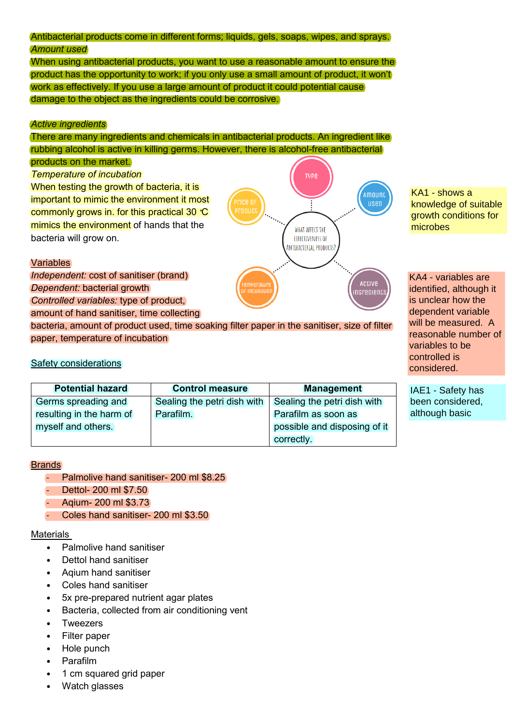# Antibacterial products come in different forms; liquids, gels, soaps, wipes, and sprays. *Amount used*

When using antibacterial products, you want to use a reasonable amount to ensure the product has the opportunity to work; if you only use a small amount of product, it won't work as effectively. If you use a large amount of product it could potential cause damage to the object as the ingredients could be corrosive.

# *Active ingredients*

There are many ingredients and chemicals in antibacterial products. An ingredient like rubbing alcohol is active in killing germs. However, there is alcohol-free antibacterial

#### products on the market.

*Temperature of incubation*

When testing the growth of bacteria, it is important to mimic the environment it most commonly grows in. for this practical 30**˚**C mimics the environment of hands that the bacteria will grow on.

# **Variables**

*Independent:* cost of sanitiser (brand) *Dependent:* bacterial growth

*Controlled variables:* type of product,

amount of hand sanitiser, time collecting

bacteria, amount of product used, time soaking filter paper in the sanitiser, size of filter paper, temperature of incubation

# Safety considerations

| <b>Potential hazard</b>  | <b>Control measure</b>                                    | <b>Management</b>            |
|--------------------------|-----------------------------------------------------------|------------------------------|
| Germs spreading and      | Sealing the petri dish with   Sealing the petri dish with |                              |
| resulting in the harm of | Parafilm.                                                 | Parafilm as soon as          |
| myself and others.       |                                                           | possible and disposing of it |
|                          |                                                           | correctly.                   |

# Brands

- Palmolive hand sanitiser- 200 ml \$8.25
- Dettol- 200 ml \$7.50
- Aqium- 200 ml \$3.73
- Coles hand sanitiser- 200 ml \$3.50

# **Materials**

- Palmolive hand sanitiser
- Dettol hand sanitiser
- Aqium hand sanitiser
- Coles hand sanitiser
- 5x pre-prepared nutrient agar plates
- Bacteria, collected from air conditioning vent
- **Tweezers**
- Filter paper
- Hole punch
- Parafilm
- 1 cm squared grid paper
- 



knowledge of suitable growth conditions for microbes

KA4 - variables are identified, although it is unclear how the dependent variable will be measured. A reasonable number of variables to be controlled is considered.

IAE1 - Safety has been considered, although basic